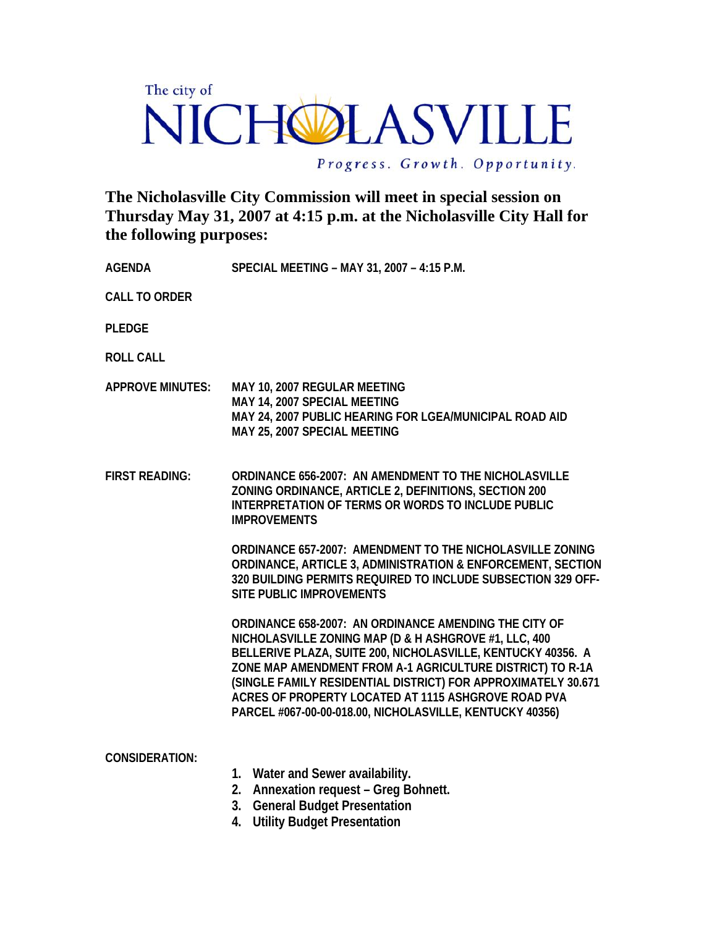## The city of NICHOLASVILLE

Progress. Growth. Opportunity.

**The Nicholasville City Commission will meet in special session on Thursday May 31, 2007 at 4:15 p.m. at the Nicholasville City Hall for the following purposes:** 

**AGENDA SPECIAL MEETING – MAY 31, 2007 – 4:15 P.M.** 

**CALL TO ORDER** 

**PLEDGE** 

**ROLL CALL** 

- **APPROVE MINUTES: MAY 10, 2007 REGULAR MEETING MAY 14, 2007 SPECIAL MEETING MAY 24, 2007 PUBLIC HEARING FOR LGEA/MUNICIPAL ROAD AID MAY 25, 2007 SPECIAL MEETING**
- **FIRST READING: ORDINANCE 656-2007: AN AMENDMENT TO THE NICHOLASVILLE ZONING ORDINANCE, ARTICLE 2, DEFINITIONS, SECTION 200 INTERPRETATION OF TERMS OR WORDS TO INCLUDE PUBLIC IMPROVEMENTS**

**ORDINANCE 657-2007: AMENDMENT TO THE NICHOLASVILLE ZONING ORDINANCE, ARTICLE 3, ADMINISTRATION & ENFORCEMENT, SECTION 320 BUILDING PERMITS REQUIRED TO INCLUDE SUBSECTION 329 OFF-SITE PUBLIC IMPROVEMENTS** 

**ORDINANCE 658-2007: AN ORDINANCE AMENDING THE CITY OF NICHOLASVILLE ZONING MAP (D & H ASHGROVE #1, LLC, 400 BELLERIVE PLAZA, SUITE 200, NICHOLASVILLE, KENTUCKY 40356. A ZONE MAP AMENDMENT FROM A-1 AGRICULTURE DISTRICT) TO R-1A (SINGLE FAMILY RESIDENTIAL DISTRICT) FOR APPROXIMATELY 30.671 ACRES OF PROPERTY LOCATED AT 1115 ASHGROVE ROAD PVA PARCEL #067-00-00-018.00, NICHOLASVILLE, KENTUCKY 40356)** 

| <b>CONSIDERATION:</b> |             |                                                                       |
|-----------------------|-------------|-----------------------------------------------------------------------|
|                       | $1_{\cdot}$ | Water and Sewer availability.                                         |
|                       |             | 2. Annexation request – Greg Bohnett.                                 |
|                       |             | 3. General Budget Presentation                                        |
|                       |             | $\blacksquare$ . There is a subsequently in the set of $\blacksquare$ |

**4. Utility Budget Presentation**